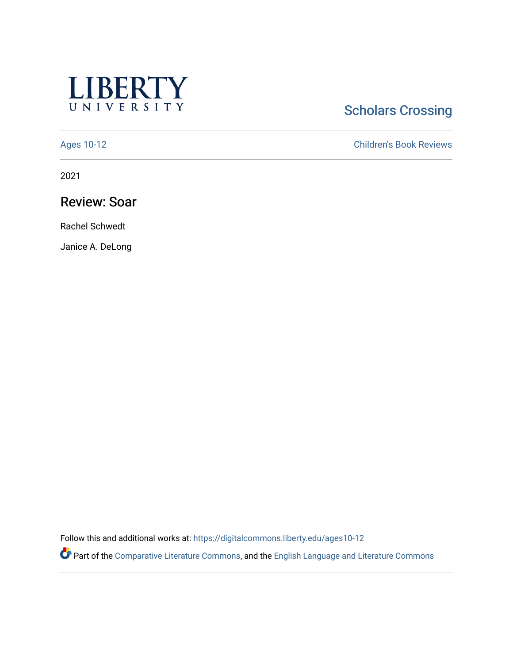

# **Scholars Crossing**

[Ages 10-12](https://digitalcommons.liberty.edu/ages10-12) [Children's Book Reviews](https://digitalcommons.liberty.edu/child_bookrev) 

2021

## Review: Soar

Rachel Schwedt

Janice A. DeLong

Follow this and additional works at: [https://digitalcommons.liberty.edu/ages10-12](https://digitalcommons.liberty.edu/ages10-12?utm_source=digitalcommons.liberty.edu%2Fages10-12%2F17&utm_medium=PDF&utm_campaign=PDFCoverPages) 

Part of the [Comparative Literature Commons](http://network.bepress.com/hgg/discipline/454?utm_source=digitalcommons.liberty.edu%2Fages10-12%2F17&utm_medium=PDF&utm_campaign=PDFCoverPages), and the [English Language and Literature Commons](http://network.bepress.com/hgg/discipline/455?utm_source=digitalcommons.liberty.edu%2Fages10-12%2F17&utm_medium=PDF&utm_campaign=PDFCoverPages)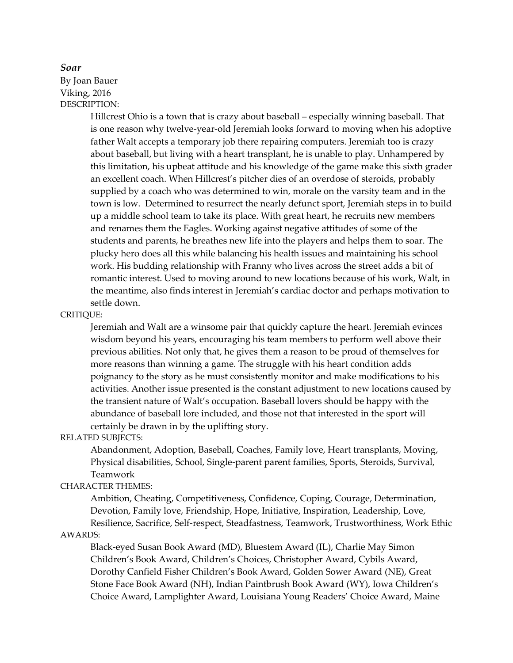## *Soar*

By Joan Bauer Viking, 2016 DESCRIPTION:

> Hillcrest Ohio is a town that is crazy about baseball – especially winning baseball. That is one reason why twelve-year-old Jeremiah looks forward to moving when his adoptive father Walt accepts a temporary job there repairing computers. Jeremiah too is crazy about baseball, but living with a heart transplant, he is unable to play. Unhampered by this limitation, his upbeat attitude and his knowledge of the game make this sixth grader an excellent coach. When Hillcrest's pitcher dies of an overdose of steroids, probably supplied by a coach who was determined to win, morale on the varsity team and in the town is low. Determined to resurrect the nearly defunct sport, Jeremiah steps in to build up a middle school team to take its place. With great heart, he recruits new members and renames them the Eagles. Working against negative attitudes of some of the students and parents, he breathes new life into the players and helps them to soar. The plucky hero does all this while balancing his health issues and maintaining his school work. His budding relationship with Franny who lives across the street adds a bit of romantic interest. Used to moving around to new locations because of his work, Walt, in the meantime, also finds interest in Jeremiah's cardiac doctor and perhaps motivation to settle down.

CRITIQUE:

Jeremiah and Walt are a winsome pair that quickly capture the heart. Jeremiah evinces wisdom beyond his years, encouraging his team members to perform well above their previous abilities. Not only that, he gives them a reason to be proud of themselves for more reasons than winning a game. The struggle with his heart condition adds poignancy to the story as he must consistently monitor and make modifications to his activities. Another issue presented is the constant adjustment to new locations caused by the transient nature of Walt's occupation. Baseball lovers should be happy with the abundance of baseball lore included, and those not that interested in the sport will certainly be drawn in by the uplifting story.

RELATED SUBJECTS:

Abandonment, Adoption, Baseball, Coaches, Family love, Heart transplants, Moving, Physical disabilities, School, Single-parent parent families, Sports, Steroids, Survival, Teamwork

### CHARACTER THEMES:

Ambition, Cheating, Competitiveness, Confidence, Coping, Courage, Determination, Devotion, Family love, Friendship, Hope, Initiative, Inspiration, Leadership, Love, Resilience, Sacrifice, Self-respect, Steadfastness, Teamwork, Trustworthiness, Work Ethic

AWARDS:

Black-eyed Susan Book Award (MD), Bluestem Award (IL), Charlie May Simon Children's Book Award, Children's Choices, Christopher Award, Cybils Award, Dorothy Canfield Fisher Children's Book Award, Golden Sower Award (NE), Great Stone Face Book Award (NH), Indian Paintbrush Book Award (WY), Iowa Children's Choice Award, Lamplighter Award, Louisiana Young Readers' Choice Award, Maine